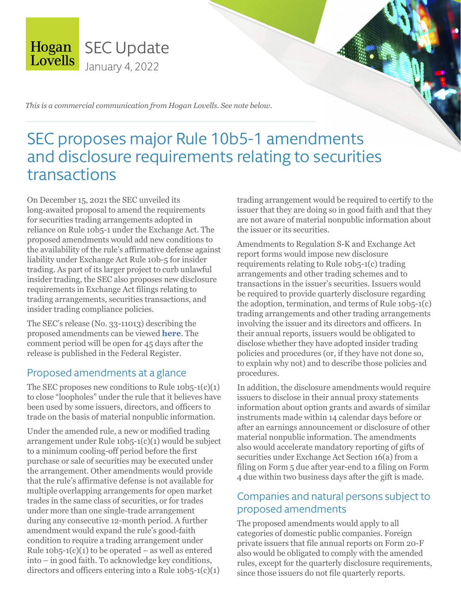

*This is a commercial communication from Hogan Lovells. See note below.*

# SEC proposes major Rule 10b5-1 amendments and disclosure requirements relating to securities transactions

On December 15, 2021 the SEC unveiled its long-awaited proposal to amend the requirements for securities trading arrangements adopted in reliance on Rule 10b5-1 under the Exchange Act. The proposed amendments would add new conditions to the availability of the rule's affirmative defense against liability under Exchange Act Rule 10b-5 for insider trading. As part of its larger project to curb unlawful insider trading, the SEC also proposes new disclosure requirements in Exchange Act filings relating to trading arrangements, securities transactions, and insider trading compliance policies.

The SEC's release (No. 33-11013) describing the proposed amendments can be viewed **[here](https://www.sec.gov/rules/proposed/2022/33-11013.pdf)**. The comment period will be open for 45 days after the release is published in the Federal Register.

### Proposed amendments at a glance

The SEC proposes new conditions to Rule  $10b5-1(c)(1)$ to close "loopholes" under the rule that it believes have been used by some issuers, directors, and officers to trade on the basis of material nonpublic information.

Under the amended rule, a new or modified trading arrangement under Rule 10b5-1(c)(1) would be subject to a minimum cooling-off period before the first purchase or sale of securities may be executed under the arrangement. Other amendments would provide that the rule's affirmative defense is not available for multiple overlapping arrangements for open market trades in the same class of securities, or for trades under more than one single-trade arrangement during any consecutive 12-month period. A further amendment would expand the rule's good-faith condition to require a trading arrangement under Rule  $10b5-1(c)(1)$  to be operated – as well as entered into – in good faith. To acknowledge key conditions, directors and officers entering into a Rule  $10b5-1(c)(1)$ 

trading arrangement would be required to certify to the issuer that they are doing so in good faith and that they are not aware of material nonpublic information about the issuer or its securities.

Amendments to Regulation S-K and Exchange Act report forms would impose new disclosure requirements relating to Rule 10b5-1(c) trading arrangements and other trading schemes and to transactions in the issuer's securities. Issuers would be required to provide quarterly disclosure regarding the adoption, termination, and terms of Rule 10b5-1(c) trading arrangements and other trading arrangements involving the issuer and its directors and officers. In their annual reports, issuers would be obligated to disclose whether they have adopted insider trading policies and procedures (or, if they have not done so, to explain why not) and to describe those policies and procedures.

In addition, the disclosure amendments would require issuers to disclose in their annual proxy statements information about option grants and awards of similar instruments made within 14 calendar days before or after an earnings announcement or disclosure of other material nonpublic information. The amendments also would accelerate mandatory reporting of gifts of securities under Exchange Act Section 16(a) from a filing on Form 5 due after year-end to a filing on Form 4 due within two business days after the gift is made.

### Companies and natural persons subject to proposed amendments

The proposed amendments would apply to all categories of domestic public companies. Foreign private issuers that file annual reports on Form 20-F also would be obligated to comply with the amended rules, except for the quarterly disclosure requirements, since those issuers do not file quarterly reports.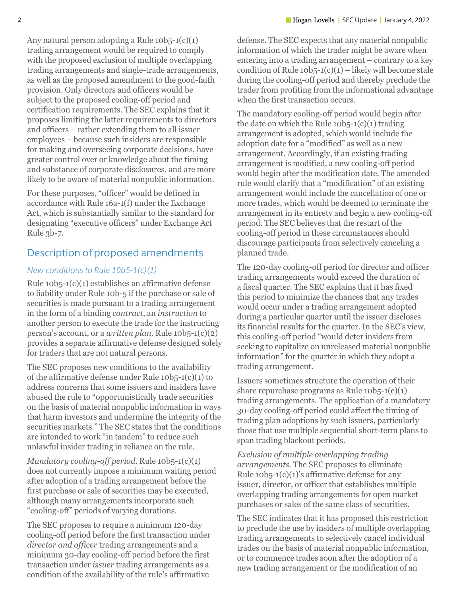Any natural person adopting a Rule 10b5-1(c)(1) trading arrangement would be required to comply with the proposed exclusion of multiple overlapping trading arrangements and single-trade arrangements, as well as the proposed amendment to the good-faith provision. Only directors and officers would be subject to the proposed cooling-off period and certification requirements. The SEC explains that it proposes limiting the latter requirements to directors and officers – rather extending them to all issuer employees – because such insiders are responsible for making and overseeing corporate decisions, have greater control over or knowledge about the timing and substance of corporate disclosures, and are more likely to be aware of material nonpublic information.

For these purposes, "officer" would be defined in accordance with Rule 16a-1(f) under the Exchange Act, which is substantially similar to the standard for designating "executive officers" under Exchange Act Rule 3b-7.

### Description of proposed amendments

#### *New conditions to Rule 10b5-1(c)(1)*

Rule 10b5-1(c)(1) establishes an affirmative defense to liability under Rule 10b-5 if the purchase or sale of securities is made pursuant to a trading arrangement in the form of a binding *contract*, an *instruction* to another person to execute the trade for the instructing person's account, or a *written plan*. Rule 10b5-1(c)(2) provides a separate affirmative defense designed solely for traders that are not natural persons.

The SEC proposes new conditions to the availability of the affirmative defense under Rule 10b5-1(c)(1) to address concerns that some issuers and insiders have abused the rule to "opportunistically trade securities on the basis of material nonpublic information in ways that harm investors and undermine the integrity of the securities markets." The SEC states that the conditions are intended to work "in tandem" to reduce such unlawful insider trading in reliance on the rule.

*Mandatory cooling-off period*. Rule 10b5-1(c)(1) does not currently impose a minimum waiting period after adoption of a trading arrangement before the first purchase or sale of securities may be executed, although many arrangements incorporate such "cooling-off" periods of varying durations.

The SEC proposes to require a minimum 120-day cooling-off period before the first transaction under *director and officer* trading arrangements and a minimum 30-day cooling-off period before the first transaction under *issuer* trading arrangements as a condition of the availability of the rule's affirmative

defense. The SEC expects that any material nonpublic information of which the trader might be aware when entering into a trading arrangement – contrary to a key condition of Rule  $10b5-1(c)(1)$  – likely will become stale during the cooling-off period and thereby preclude the trader from profiting from the informational advantage when the first transaction occurs.

The mandatory cooling-off period would begin after the date on which the Rule  $10b5-1(c)(1)$  trading arrangement is adopted, which would include the adoption date for a "modified" as well as a new arrangement. Accordingly, if an existing trading arrangement is modified, a new cooling-off period would begin after the modification date. The amended rule would clarify that a "modification" of an existing arrangement would include the cancellation of one or more trades, which would be deemed to terminate the arrangement in its entirety and begin a new cooling-off period. The SEC believes that the restart of the cooling-off period in these circumstances should discourage participants from selectively canceling a planned trade.

The 120-day cooling-off period for director and officer trading arrangements would exceed the duration of a fiscal quarter. The SEC explains that it has fixed this period to minimize the chances that any trades would occur under a trading arrangement adopted during a particular quarter until the issuer discloses its financial results for the quarter. In the SEC's view, this cooling-off period "would deter insiders from seeking to capitalize on unreleased material nonpublic information" for the quarter in which they adopt a trading arrangement.

Issuers sometimes structure the operation of their share repurchase programs as Rule  $10b5-1(c)(1)$ trading arrangements. The application of a mandatory 30-day cooling-off period could affect the timing of trading plan adoptions by such issuers, particularly those that use multiple sequential short-term plans to span trading blackout periods.

*Exclusion of multiple overlapping trading arrangements*. The SEC proposes to eliminate Rule  $10b5-1(c)(1)$ 's affirmative defense for any issuer, director, or officer that establishes multiple overlapping trading arrangements for open market purchases or sales of the same class of securities.

The SEC indicates that it has proposed this restriction to preclude the use by insiders of multiple overlapping trading arrangements to selectively cancel individual trades on the basis of material nonpublic information, or to commence trades soon after the adoption of a new trading arrangement or the modification of an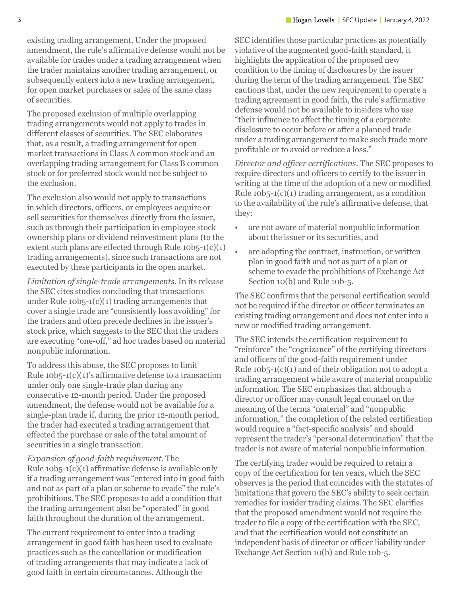existing trading arrangement. Under the proposed amendment, the rule's affirmative defense would not be available for trades under a trading arrangement when the trader maintains another trading arrangement, or subsequently enters into a new trading arrangement, for open market purchases or sales of the same class of securities.

The proposed exclusion of multiple overlapping trading arrangements would not apply to trades in different classes of securities. The SEC elaborates that, as a result, a trading arrangement for open market transactions in Class A common stock and an overlapping trading arrangement for Class B common stock or for preferred stock would not be subject to the exclusion.

The exclusion also would not apply to transactions in which directors, officers, or employees acquire or sell securities for themselves directly from the issuer, such as through their participation in employee stock ownership plans or dividend reinvestment plans (to the extent such plans are effected through Rule  $10b5-1(c)(1)$ trading arrangements), since such transactions are not executed by these participants in the open market.

*Limitation of single-trade arrangements*. In its release the SEC cites studies concluding that transactions under Rule  $10b5-1(c)(1)$  trading arrangements that cover a single trade are "consistently loss avoiding" for the traders and often precede declines in the issuer's stock price, which suggests to the SEC that the traders are executing "one-off," ad hoc trades based on material nonpublic information.

To address this abuse, the SEC proposes to limit Rule  $10b5-1(c)(1)$ 's affirmative defense to a transaction under only one single-trade plan during any consecutive 12-month period. Under the proposed amendment, the defense would not be available for a single-plan trade if, during the prior 12-month period, the trader had executed a trading arrangement that effected the purchase or sale of the total amount of securities in a single transaction.

*Expansion of good-faith requirement*. The Rule  $10b5-1(c)(1)$  affirmative defense is available only if a trading arrangement was "entered into in good faith and not as part of a plan or scheme to evade" the rule's prohibitions. The SEC proposes to add a condition that the trading arrangement also be "operated" in good faith throughout the duration of the arrangement.

The current requirement to enter into a trading arrangement in good faith has been used to evaluate practices such as the cancellation or modification of trading arrangements that may indicate a lack of good faith in certain circumstances. Although the

SEC identifies those particular practices as potentially violative of the augmented good-faith standard, it highlights the application of the proposed new condition to the timing of disclosures by the issuer during the term of the trading arrangement. The SEC cautions that, under the new requirement to operate a trading agreement in good faith, the rule's affirmative defense would not be available to insiders who use "their influence to affect the timing of a corporate disclosure to occur before or after a planned trade under a trading arrangement to make such trade more profitable or to avoid or reduce a loss."

*Director and officer certifications*. The SEC proposes to require directors and officers to certify to the issuer in writing at the time of the adoption of a new or modified Rule  $10b5-1(c)(1)$  trading arrangement, as a condition to the availability of the rule's affirmative defense, that they:

- are not aware of material nonpublic information about the issuer or its securities, and
- are adopting the contract, instruction, or written plan in good faith and not as part of a plan or scheme to evade the prohibitions of Exchange Act Section 10(b) and Rule 10b-5.

The SEC confirms that the personal certification would not be required if the director or officer terminates an existing trading arrangement and does not enter into a new or modified trading arrangement.

The SEC intends the certification requirement to "reinforce" the "cognizance" of the certifying directors and officers of the good-faith requirement under Rule  $10b5-1(c)(1)$  and of their obligation not to adopt a trading arrangement while aware of material nonpublic information. The SEC emphasizes that although a director or officer may consult legal counsel on the meaning of the terms "material" and "nonpublic information," the completion of the related certification would require a "fact-specific analysis" and should represent the trader's "personal determination" that the trader is not aware of material nonpublic information.

The certifying trader would be required to retain a copy of the certification for ten years, which the SEC observes is the period that coincides with the statutes of limitations that govern the SEC's ability to seek certain remedies for insider trading claims. The SEC clarifies that the proposed amendment would not require the trader to file a copy of the certification with the SEC, and that the certification would not constitute an independent basis of director or officer liability under Exchange Act Section 10(b) and Rule 10b-5.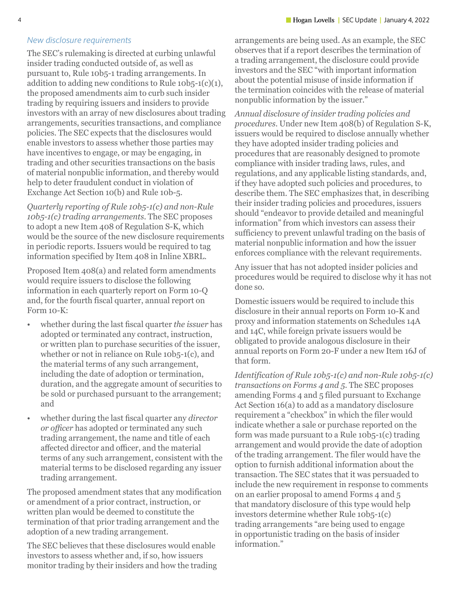#### *New disclosure requirements*

The SEC's rulemaking is directed at curbing unlawful insider trading conducted outside of, as well as pursuant to, Rule 10b5-1 trading arrangements. In addition to adding new conditions to Rule  $10b5-1(c)(1)$ , the proposed amendments aim to curb such insider trading by requiring issuers and insiders to provide investors with an array of new disclosures about trading arrangements, securities transactions, and compliance policies. The SEC expects that the disclosures would enable investors to assess whether those parties may have incentives to engage, or may be engaging, in trading and other securities transactions on the basis of material nonpublic information, and thereby would help to deter fraudulent conduct in violation of Exchange Act Section 10(b) and Rule 10b-5.

*Quarterly reporting of Rule 10b5-1(c) and non-Rule 10b5-1(c) trading arrangements*. The SEC proposes to adopt a new Item 408 of Regulation S-K, which would be the source of the new disclosure requirements in periodic reports. Issuers would be required to tag information specified by Item 408 in Inline XBRL.

Proposed Item 408(a) and related form amendments would require issuers to disclose the following information in each quarterly report on Form 10-Q and, for the fourth fiscal quarter, annual report on Form 10-K:

- whether during the last fiscal quarter *the issuer* has adopted or terminated any contract, instruction, or written plan to purchase securities of the issuer, whether or not in reliance on Rule 10b5-1(c), and the material terms of any such arrangement, including the date of adoption or termination, duration, and the aggregate amount of securities to be sold or purchased pursuant to the arrangement; and
- whether during the last fiscal quarter any *director or officer* has adopted or terminated any such trading arrangement, the name and title of each affected director and officer, and the material terms of any such arrangement, consistent with the material terms to be disclosed regarding any issuer trading arrangement.

The proposed amendment states that any modification or amendment of a prior contract, instruction, or written plan would be deemed to constitute the termination of that prior trading arrangement and the adoption of a new trading arrangement.

The SEC believes that these disclosures would enable investors to assess whether and, if so, how issuers monitor trading by their insiders and how the trading

arrangements are being used. As an example, the SEC observes that if a report describes the termination of a trading arrangement, the disclosure could provide investors and the SEC "with important information about the potential misuse of inside information if the termination coincides with the release of material nonpublic information by the issuer."

*Annual disclosure of insider trading policies and procedures*. Under new Item 408(b) of Regulation S-K, issuers would be required to disclose annually whether they have adopted insider trading policies and procedures that are reasonably designed to promote compliance with insider trading laws, rules, and regulations, and any applicable listing standards, and, if they have adopted such policies and procedures, to describe them. The SEC emphasizes that, in describing their insider trading policies and procedures, issuers should "endeavor to provide detailed and meaningful information" from which investors can assess their sufficiency to prevent unlawful trading on the basis of material nonpublic information and how the issuer enforces compliance with the relevant requirements.

Any issuer that has not adopted insider policies and procedures would be required to disclose why it has not done so.

Domestic issuers would be required to include this disclosure in their annual reports on Form 10-K and proxy and information statements on Schedules 14A and 14C, while foreign private issuers would be obligated to provide analogous disclosure in their annual reports on Form 20-F under a new Item 16J of that form.

*Identification of Rule 10b5-1(c) and non-Rule 10b5-1(c) transactions on Forms 4 and 5*. The SEC proposes amending Forms 4 and 5 filed pursuant to Exchange Act Section 16(a) to add as a mandatory disclosure requirement a "checkbox" in which the filer would indicate whether a sale or purchase reported on the form was made pursuant to a Rule 10b5-1(c) trading arrangement and would provide the date of adoption of the trading arrangement. The filer would have the option to furnish additional information about the transaction. The SEC states that it was persuaded to include the new requirement in response to comments on an earlier proposal to amend Forms 4 and 5 that mandatory disclosure of this type would help investors determine whether Rule 10b5-1(c) trading arrangements "are being used to engage in opportunistic trading on the basis of insider information."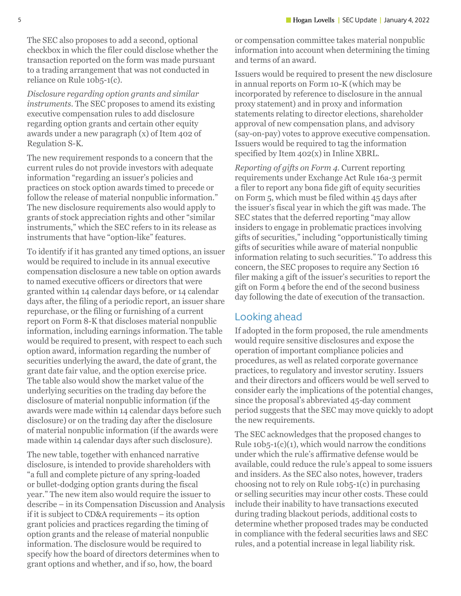The SEC also proposes to add a second, optional checkbox in which the filer could disclose whether the transaction reported on the form was made pursuant to a trading arrangement that was not conducted in reliance on Rule 10b5-1(c).

*Disclosure regarding option grants and similar instruments*. The SEC proposes to amend its existing executive compensation rules to add disclosure regarding option grants and certain other equity awards under a new paragraph (x) of Item 402 of Regulation S-K.

The new requirement responds to a concern that the current rules do not provide investors with adequate information "regarding an issuer's policies and practices on stock option awards timed to precede or follow the release of material nonpublic information." The new disclosure requirements also would apply to grants of stock appreciation rights and other "similar instruments," which the SEC refers to in its release as instruments that have "option-like" features.

To identify if it has granted any timed options, an issuer would be required to include in its annual executive compensation disclosure a new table on option awards to named executive officers or directors that were granted within 14 calendar days before, or 14 calendar days after, the filing of a periodic report, an issuer share repurchase, or the filing or furnishing of a current report on Form 8-K that discloses material nonpublic information, including earnings information. The table would be required to present, with respect to each such option award, information regarding the number of securities underlying the award, the date of grant, the grant date fair value, and the option exercise price. The table also would show the market value of the underlying securities on the trading day before the disclosure of material nonpublic information (if the awards were made within 14 calendar days before such disclosure) or on the trading day after the disclosure of material nonpublic information (if the awards were made within 14 calendar days after such disclosure).

The new table, together with enhanced narrative disclosure, is intended to provide shareholders with "a full and complete picture of any spring-loaded or bullet-dodging option grants during the fiscal year." The new item also would require the issuer to describe – in its Compensation Discussion and Analysis if it is subject to CD&A requirements – its option grant policies and practices regarding the timing of option grants and the release of material nonpublic information. The disclosure would be required to specify how the board of directors determines when to grant options and whether, and if so, how, the board

or compensation committee takes material nonpublic information into account when determining the timing and terms of an award.

Issuers would be required to present the new disclosure in annual reports on Form 10-K (which may be incorporated by reference to disclosure in the annual proxy statement) and in proxy and information statements relating to director elections, shareholder approval of new compensation plans, and advisory (say-on-pay) votes to approve executive compensation. Issuers would be required to tag the information specified by Item 402(x) in Inline XBRL.

*Reporting of gifts on Form 4*. Current reporting requirements under Exchange Act Rule 16a-3 permit a filer to report any bona fide gift of equity securities on Form 5, which must be filed within 45 days after the issuer's fiscal year in which the gift was made. The SEC states that the deferred reporting "may allow insiders to engage in problematic practices involving gifts of securities," including "opportunistically timing gifts of securities while aware of material nonpublic information relating to such securities." To address this concern, the SEC proposes to require any Section 16 filer making a gift of the issuer's securities to report the gift on Form 4 before the end of the second business day following the date of execution of the transaction.

### Looking ahead

If adopted in the form proposed, the rule amendments would require sensitive disclosures and expose the operation of important compliance policies and procedures, as well as related corporate governance practices, to regulatory and investor scrutiny. Issuers and their directors and officers would be well served to consider early the implications of the potential changes, since the proposal's abbreviated 45-day comment period suggests that the SEC may move quickly to adopt the new requirements.

The SEC acknowledges that the proposed changes to Rule  $10b5-1(c)(1)$ , which would narrow the conditions under which the rule's affirmative defense would be available, could reduce the rule's appeal to some issuers and insiders. As the SEC also notes, however, traders choosing not to rely on Rule 10b5-1(c) in purchasing or selling securities may incur other costs. These could include their inability to have transactions executed during trading blackout periods, additional costs to determine whether proposed trades may be conducted in compliance with the federal securities laws and SEC rules, and a potential increase in legal liability risk.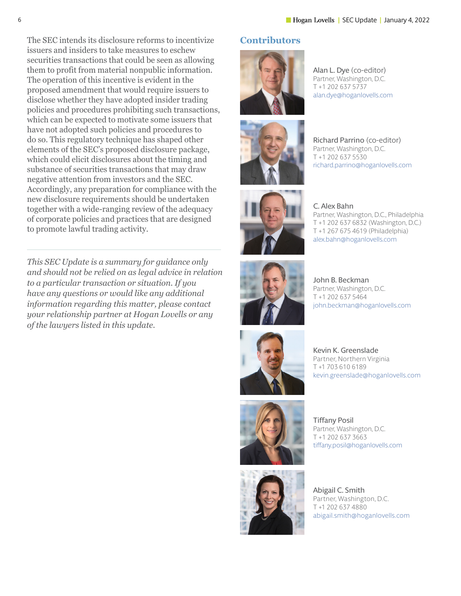Alan L. Dye (co-editor) Partner, Washington, D.C. T +1 202 637 5737

alan.dye[@hoganlovells.com](mailto:alan.dye%40hoganlovells.com?subject=)

The SEC intends its disclosure reforms to incentivize issuers and insiders to take measures to eschew securities transactions that could be seen as allowing them to profit from material nonpublic information. The operation of this incentive is evident in the proposed amendment that would require issuers to disclose whether they have adopted insider trading policies and procedures prohibiting such transactions, which can be expected to motivate some issuers that have not adopted such policies and procedures to do so. This regulatory technique has shaped other elements of the SEC's proposed disclosure package, which could elicit disclosures about the timing and substance of securities transactions that may draw negative attention from investors and the SEC. Accordingly, any preparation for compliance with the new disclosure requirements should be undertaken together with a wide-ranging review of the adequacy of corporate policies and practices that are designed to promote lawful trading activity.

*This SEC Update is a summary for guidance only and should not be relied on as legal advice in relation to a particular transaction or situation. If you have any questions or would like any additional information regarding this matter, please contact your relationship partner at Hogan Lovells or any of the lawyers listed in this update.* 

### **Contributors**







Richard Parrino (co-editor) Partner, Washington, D.C. T +1 202 637 5530 [richard.parrino@hoganlovells.com](mailto:richard.parrino%40hoganlovells.com?subject=)

C. Alex Bahn Partner, Washington, D.C., Philadelphia T +1 202 637 6832 (Washington, D.C.) T +1 267 675 4619 (Philadelphia) [alex.bahn@hoganlovells.com](mailto:alex.bahn%40hoganlovells.com?subject=)



John B. Beckman Partner, Washington, D.C. T +1 202 637 5464 [john.beckman@hoganlovells.com](mailto:john.beckman%40hoganlovells.com?subject=)



Kevin K. Greenslade Partner, Northern Virginia T +1 703 610 6189 [kevin.greenslade@hoganlovells.com](mailto:kevin.greenslade%40hoganlovells.com?subject=)





Tiffany Posil Partner, Washington, D.C. T +1 202 637 3663 [tiffany.posil@hoganlovells.com](mailto:tiffany.posil%40hoganlovells.com?subject=)

Abigail C. Smith Partner, Washington, D.C. T +1 202 637 4880 abigail.smith[@hoganlovells.com](mailto:abigail.smith%40hoganlovells.com?subject=)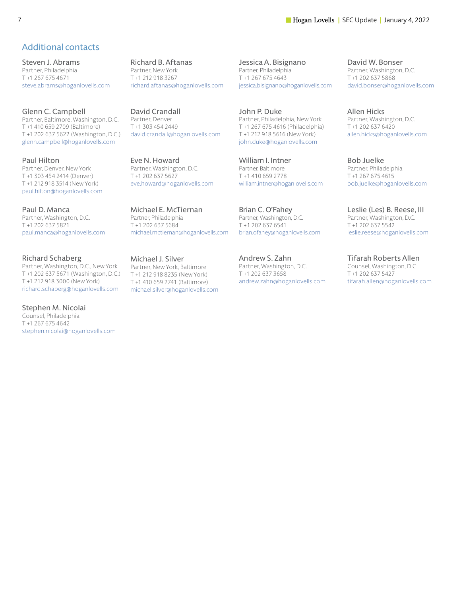#### **The Section 2008 12 | SEC Update | January 4, 2022**

### Additional contacts

Steven J. Abrams Partner, Philadelphia T +1 267 675 4671 [steve.abrams@hoganlovells.com](mailto:steve.abrams%40hoganlovells.com?subject=)

Glenn C. Campbell Partner, Baltimore, Washington, D.C. T +1 410 659 2709 (Baltimore) T +1 202 637 5622 (Washington, D.C.) [glenn.campbell@hoganlovells.com](mailto:glenn.campbell%40hoganlovells.com?subject=)

Paul Hilton Partner, Denver, New York T +1 303 454 2414 (Denver) T +1 212 918 3514 (New York) [paul.hilton@hoganlovells.com](mailto:paul.hilton%40hoganlovells.com?subject=)

Paul D. Manca Partner, Washington, D.C. T +1 202 637 5821 [paul.manca@hoganlovells.com](mailto:paul.manca%40hoganlovells.com?subject=)

Richard Schaberg Partner, Washington, D.C., New York T +1 202 637 5671 (Washington, D.C.) T +1 212 918 3000 (New York) [richard.schaberg@hoganlovells.com](mailto:richard.schaberg%40hoganlovells.com?subject=)

Stephen M. Nicolai Counsel, Philadelphia T +1 267 675 4642 stephen.nicolai[@hoganlovells.com](mailto:stephen.nicolai%40hoganlovells.com?subject=) Richard B. Aftanas Partner, New York T +1 212 918 3267 [richard.aftanas@hoganlovells.com](mailto:richard.aftanas%40hoganlovells.com?subject=)

David Crandall Partner, Denver T +1 303 454 2449 david.crandal[l@hoganlovells.com](mailto:david.crandall%40hoganlovells.com?subject=)

Eve N. Howard Partner, Washington, D.C. T +1 202 637 5627 [eve.howard@hoganlovells.com](mailto:eve.howard%40hoganlovells.com?subject=)

Michael E. McTiernan Partner, Philadelphia T +1 202 637 5684 [michael.mctiernan@hoganlovells.com](mailto:michael.mctiernan%40hoganlovells.com?subject=)

Michael J. Silver Partner, New York, Baltimore T +1 212 918 8235 (New York) T +1 410 659 2741 (Baltimore) [michael.silver@hoganlovells.com](mailto:michael.silver%40hoganlovells.com?subject=) Jessica A. Bisignano Partner, Philadelphia T +1 267 675 4643 [jessica.bisignano@hoganlovells.com](mailto:jessica.bisignano%40hoganlovells.com?subject=)

John P. Duke Partner, Philadelphia, New York T +1 267 675 4616 (Philadelphia) T +1 212 918 5616 (New York) [john.duke@hoganlovells.com](mailto:john.duke%40hoganlovells.com?subject=)

William I. Intner Partner, Baltimore T +1 410 659 2778 [william.intner@hoganlovells.com](mailto:william.intner%40hoganlovells.com?subject=)

Brian C. O'Fahey Partner, Washington, D.C. T +1 202 637 6541 [brian.ofahey@hoganlovells.com](mailto:brian.ofahey%40hoganlovells.com?subject=)

Andrew S. Zahn Partner, Washington, D.C. T +1 202 637 3658 [andrew.zahn@hoganlovells.com](mailto:andrew.zahn%40hoganlovells.com?subject=) David W. Bonser Partner, Washington, D.C. T +1 202 637 5868 [david.bonser@hoganlovells.com](mailto:david.bonser%40hoganlovells.com?subject=)

Allen Hicks Partner, Washington, D.C. T +1 202 637 6420 [allen.hicks@hoganlovells.com](mailto:allen.hicks%40hoganlovells.com?subject=)

Bob Juelke Partner, Philadelphia T +1 267 675 4615 [bob.juelke@hoganlovells.com](mailto:bob.juelke%40hoganlovells.com?subject=)

Leslie (Les) B. Reese, III Partner, Washington, D.C. T +1 202 637 5542 [leslie.reese@hoganlovells.com](mailto:leslie.reese%40hoganlovells.com?subject=)

Tifarah Roberts Allen Counsel, Washington, D.C. T +1 202 637 5427 [tifarah.allen@hoganlovells.com](mailto:tifarah.allen%40hoganlovells.com?subject=)